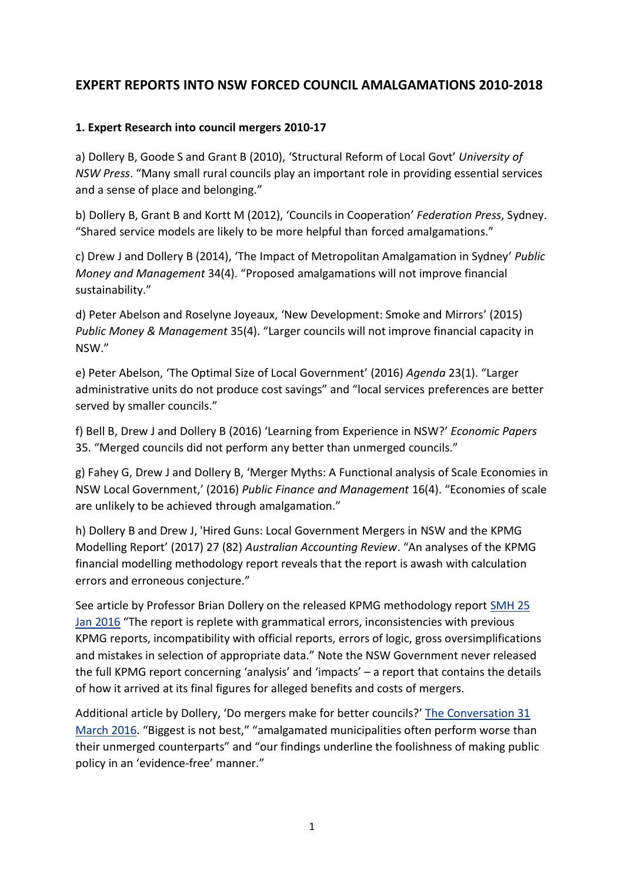# **EXPERT REPORTS INTO NSW FORCED COUNCIL AMALGAMATIONS 2010-2018**

#### **1. Expert Research into council mergers 2010-17**

a) Dollery B, Goode S and Grant B (2010), 'Structural Reform of Local Govt' *University of NSW Press*. "Many small rural councils play an important role in providing essential services and a sense of place and belonging."

b) Dollery B, Grant B and Kortt M (2012), 'Councils in Cooperation' *Federation Press*, Sydney. "Shared service models are likely to be more helpful than forced amalgamations."

c) Drew J and Dollery B (2014), 'The Impact of Metropolitan Amalgamation in Sydney' *Public Money and Management* 34(4). "Proposed amalgamations will not improve financial sustainability."

d) Peter Abelson and Roselyne Joyeaux, 'New Development: Smoke and Mirrors' (2015) *Public Money & Management* 35(4). "Larger councils will not improve financial capacity in NSW."

e) Peter Abelson, 'The Optimal Size of Local Government' (2016) *Agenda* 23(1). "Larger administrative units do not produce cost savings" and "local services preferences are better served by smaller councils."

f) Bell B, Drew J and Dollery B (2016) 'Learning from Experience in NSW?' *Economic Papers* 35. "Merged councils did not perform any better than unmerged councils."

g) Fahey G, Drew J and Dollery B, 'Merger Myths: A Functional analysis of Scale Economies in NSW Local Government,' (2016) *Public Finance and Management* 16(4). "Economies of scale are unlikely to be achieved through amalgamation."

h) Dollery B and Drew J, 'Hired Guns: Local Government Mergers in NSW and the KPMG Modelling Report' (2017) 27 (82) *Australian Accounting Review*. "An analyses of the KPMG financial modelling methodology report reveals that the report is awash with calculation errors and erroneous conjecture."

See article by Professor Brian Dollery on the released KPMG methodology report [SMH 25](https://www.smh.com.au/national/nsw/council-amalgamation-report-ignores-what-it-wants-to-ignore-20160125-gmdadu.html)  [Jan 2016](https://www.smh.com.au/national/nsw/council-amalgamation-report-ignores-what-it-wants-to-ignore-20160125-gmdadu.html) "The report is replete with grammatical errors, inconsistencies with previous KPMG reports, incompatibility with official reports, errors of logic, gross oversimplifications and mistakes in selection of appropriate data." Note the NSW Government never released the full KPMG report concerning 'analysis' and 'impacts' – a report that contains the details of how it arrived at its final figures for alleged benefits and costs of mergers.

Additional article by Dollery, 'Do mergers make for better councils?' [The Conversation 31](https://theconversation.com/do-mergers-make-for-better-councils-the-evidence-is-against-bigger-is-better-for-local-government-56813)  [March 2016.](https://theconversation.com/do-mergers-make-for-better-councils-the-evidence-is-against-bigger-is-better-for-local-government-56813) "Biggest is not best," "amalgamated municipalities often perform worse than their unmerged counterparts" and "our findings underline the foolishness of making public policy in an 'evidence-free' manner."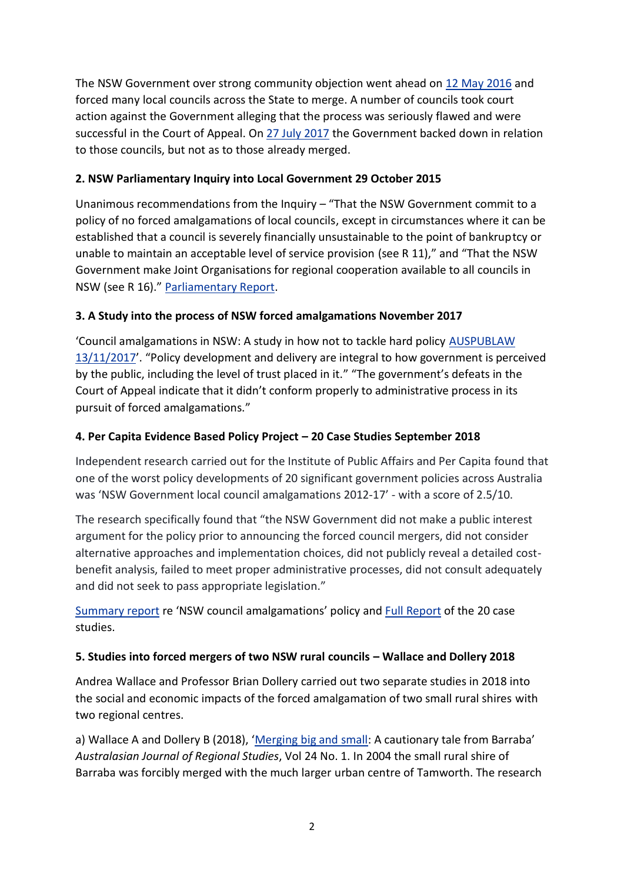The NSW Government over strong community objection went ahead on 12 [May 2016](https://www.youtube.com/watch?v=_-az4_cXy7g) and forced many local councils across the State to merge. A number of councils took court action against the Government alleging that the process was seriously flawed and were successful in the Court of Appeal. On [27 July 2017](https://www.facebook.com/saveourcouncils/videos/1900835226905704/) the Government backed down in relation to those councils, but not as to those already merged.

#### **2. NSW Parliamentary Inquiry into Local Government 29 October 2015**

Unanimous recommendations from the Inquiry – "That the NSW Government commit to a policy of no forced amalgamations of local councils, except in circumstances where it can be established that a council is severely financially unsustainable to the point of bankruptcy or unable to maintain an acceptable level of service provision (see R 11)," and "That the NSW Government make Joint Organisations for regional cooperation available to all councils in NSW (see R 16)." [Parliamentary Report.](https://www.parliament.nsw.gov.au/committees/inquiries/Pages/inquiry-details.aspx?pk=1825#tab-reportsandgovernmentresponses)

## **3. A Study into the process of NSW forced amalgamations November 2017**

'Council amalgamations in NSW: A study in how not to tackle hard policy [AUSPUBLAW](https://auspublaw.org/2017/11/council-amalgamations-in-nsw/)  [13/11/2017](https://auspublaw.org/2017/11/council-amalgamations-in-nsw/)'. "Policy development and delivery are integral to how government is perceived by the public, including the level of trust placed in it." "The government's defeats in the Court of Appeal indicate that it didn't conform properly to administrative process in its pursuit of forced amalgamations."

## **4. Per Capita Evidence Based Policy Project – 20 Case Studies September 2018**

Independent research carried out for the Institute of Public Affairs and Per Capita found that one of the worst policy developments of 20 significant government policies across Australia was 'NSW Government local council amalgamations 2012-17' - with a score of 2.5/10.

The research specifically found that "the NSW Government did not make a public interest argument for the policy prior to announcing the forced council mergers, did not consider alternative approaches and implementation choices, did not publicly reveal a detailed costbenefit analysis, failed to meet proper administrative processes, did not consult adequately and did not seek to pass appropriate legislation."

[Summary report](https://savehuntershill.files.wordpress.com/2016/01/socc-per-capita-policy-analysis-of-nsw-council-amalgamations-sept-2018.pdf) re 'NSW council amalgamations' policy and [Full Report](https://percapita.org.au/wp-content/uploads/2018/10/EBP-Project-FINAL1.pdf) of the 20 case studies.

## **5. Studies into forced mergers of two NSW rural councils – Wallace and Dollery 2018**

Andrea Wallace and Professor Brian Dollery carried out two separate studies in 2018 into the social and economic impacts of the forced amalgamation of two small rural shires with two regional centres.

a) Wallace A and Dollery B (2018), '[Merging big and small:](https://savehuntershill.files.wordpress.com/2016/01/socc-barraba-merging-big-and-small-ajrs-2018.pdf) A cautionary tale from Barraba' *Australasian Journal of Regional Studies*, Vol 24 No. 1. In 2004 the small rural shire of Barraba was forcibly merged with the much larger urban centre of Tamworth. The research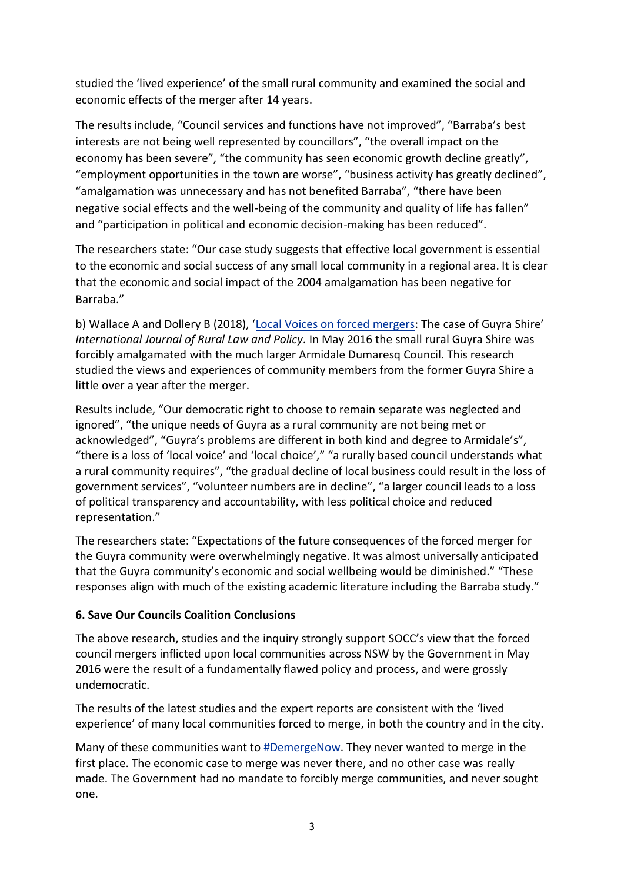studied the 'lived experience' of the small rural community and examined the social and economic effects of the merger after 14 years.

The results include, "Council services and functions have not improved", "Barraba's best interests are not being well represented by councillors", "the overall impact on the economy has been severe", "the community has seen economic growth decline greatly", "employment opportunities in the town are worse", "business activity has greatly declined", "amalgamation was unnecessary and has not benefited Barraba", "there have been negative social effects and the well-being of the community and quality of life has fallen" and "participation in political and economic decision-making has been reduced".

The researchers state: "Our case study suggests that effective local government is essential to the economic and social success of any small local community in a regional area. It is clear that the economic and social impact of the 2004 amalgamation has been negative for Barraba."

b) Wallace A and Dollery B (2018), '[Local Voices on forced mergers](https://epress.lib.uts.edu.au/journals/index.php/ijrlp/article/view/6052): The case of Guyra Shire' *International Journal of Rural Law and Policy.* In May 2016 the small rural Guyra Shire was forcibly amalgamated with the much larger Armidale Dumaresq Council. This research studied the views and experiences of community members from the former Guyra Shire a little over a year after the merger.

Results include, "Our democratic right to choose to remain separate was neglected and ignored", "the unique needs of Guyra as a rural community are not being met or acknowledged", "Guyra's problems are different in both kind and degree to Armidale's", "there is a loss of 'local voice' and 'local choice'," "a rurally based council understands what a rural community requires", "the gradual decline of local business could result in the loss of government services", "volunteer numbers are in decline", "a larger council leads to a loss of political transparency and accountability, with less political choice and reduced representation."

The researchers state: "Expectations of the future consequences of the forced merger for the Guyra community were overwhelmingly negative. It was almost universally anticipated that the Guyra community's economic and social wellbeing would be diminished." "These responses align with much of the existing academic literature including the Barraba study."

#### **6. Save Our Councils Coalition Conclusions**

The above research, studies and the inquiry strongly support SOCC's view that the forced council mergers inflicted upon local communities across NSW by the Government in May 2016 were the result of a fundamentally flawed policy and process, and were grossly undemocratic.

The results of the latest studies and the expert reports are consistent with the 'lived experience' of many local communities forced to merge, in both the country and in the city.

Many of these communities want to [#DemergeNow.](https://www.facebook.com/hashtag/demergenow?source=feed_text&epa=HASHTAG&__xts__%5B0%5D=68.ARDe1SpChTwUWLRPWVDVfrLVz_J5SnPhWd5CsM1V51ZG5OcwuQAuq-BOWVqdWkj8qNsiH6LP0C3hRNUxMubKsYuAbVSZVvvVahXVLp4FXeiVvQKg-_klKP8ITZS-cauJj2ipCWxLbxzijA3f2No9oW0HEhzg9sdqGRlpFA-5h69J8i5AFvALrk5cWqcd1YcYOuNp5nesEtnIA0ukVujIv4tzINXQPhw_78RZfPKtPc8iUPoeb-CcoSsbwrLqwni45nRkY4Zx-KVqaYMYmUqzfJPppuqgwzNI7KXi2wedoSaISANNDJRLjdTO0Sv4YI1egzUrtgyDSwoQjTxFCFjJyYBIEfPf&__tn__=%2ANK-R) They never wanted to merge in the first place. The economic case to merge was never there, and no other case was really made. The Government had no mandate to forcibly merge communities, and never sought one.